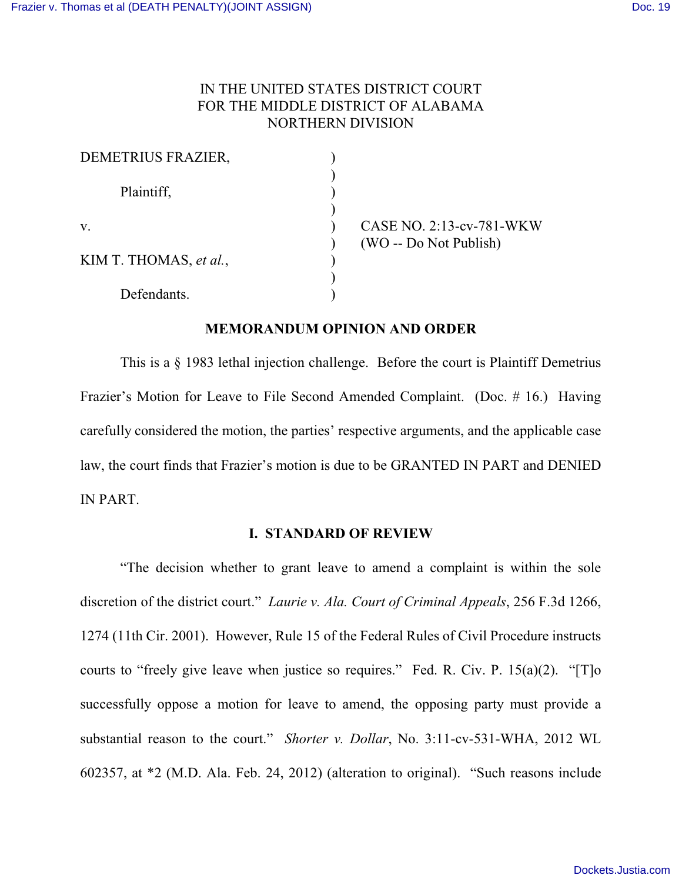# IN THE UNITED STATES DISTRICT COURT FOR THE MIDDLE DISTRICT OF ALABAMA NORTHERN DIVISION

| DEMETRIUS FRAZIER,     |                          |
|------------------------|--------------------------|
| Plaintiff,             |                          |
|                        |                          |
| V.                     | CASE NO. 2:13-cv-781-WKW |
|                        | (WO -- Do Not Publish)   |
| KIM T. THOMAS, et al., |                          |
|                        |                          |
| Defendants.            |                          |

#### **MEMORANDUM OPINION AND ORDER**

This is a § 1983 lethal injection challenge. Before the court is Plaintiff Demetrius Frazier's Motion for Leave to File Second Amended Complaint. (Doc. # 16.) Having carefully considered the motion, the parties' respective arguments, and the applicable case law, the court finds that Frazier's motion is due to be GRANTED IN PART and DENIED IN PART.

## **I. STANDARD OF REVIEW**

"The decision whether to grant leave to amend a complaint is within the sole discretion of the district court." *Laurie v. Ala. Court of Criminal Appeals*, 256 F.3d 1266, 1274 (11th Cir. 2001). However, Rule 15 of the Federal Rules of Civil Procedure instructs courts to "freely give leave when justice so requires." Fed. R. Civ. P.  $15(a)(2)$ . "[T]o successfully oppose a motion for leave to amend, the opposing party must provide a substantial reason to the court." *Shorter v. Dollar*, No. 3:11-cv-531-WHA, 2012 WL 602357, at \*2 (M.D. Ala. Feb. 24, 2012) (alteration to original). "Such reasons include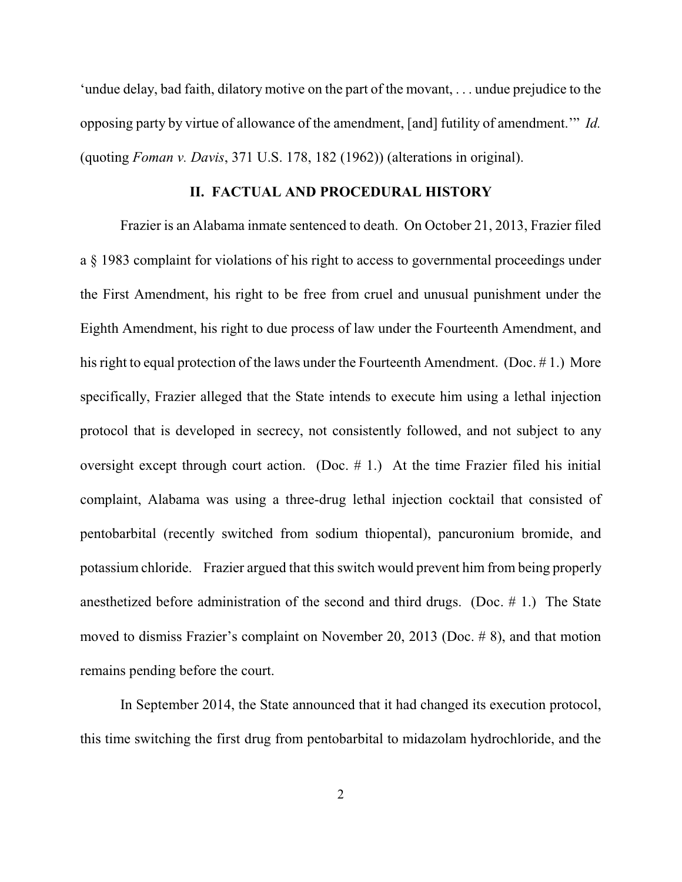'undue delay, bad faith, dilatory motive on the part of the movant, . . . undue prejudice to the opposing party by virtue of allowance of the amendment, [and] futility of amendment.'" *Id.* (quoting *Foman v. Davis*, 371 U.S. 178, 182 (1962)) (alterations in original).

#### **II. FACTUAL AND PROCEDURAL HISTORY**

Frazier is an Alabama inmate sentenced to death. On October 21, 2013, Frazier filed a § 1983 complaint for violations of his right to access to governmental proceedings under the First Amendment, his right to be free from cruel and unusual punishment under the Eighth Amendment, his right to due process of law under the Fourteenth Amendment, and his right to equal protection of the laws under the Fourteenth Amendment. (Doc. # 1.) More specifically, Frazier alleged that the State intends to execute him using a lethal injection protocol that is developed in secrecy, not consistently followed, and not subject to any oversight except through court action. (Doc.  $# 1$ .) At the time Frazier filed his initial complaint, Alabama was using a three-drug lethal injection cocktail that consisted of pentobarbital (recently switched from sodium thiopental), pancuronium bromide, and potassium chloride. Frazier argued that this switch would prevent him from being properly anesthetized before administration of the second and third drugs. (Doc. # 1.) The State moved to dismiss Frazier's complaint on November 20, 2013 (Doc. # 8), and that motion remains pending before the court.

In September 2014, the State announced that it had changed its execution protocol, this time switching the first drug from pentobarbital to midazolam hydrochloride, and the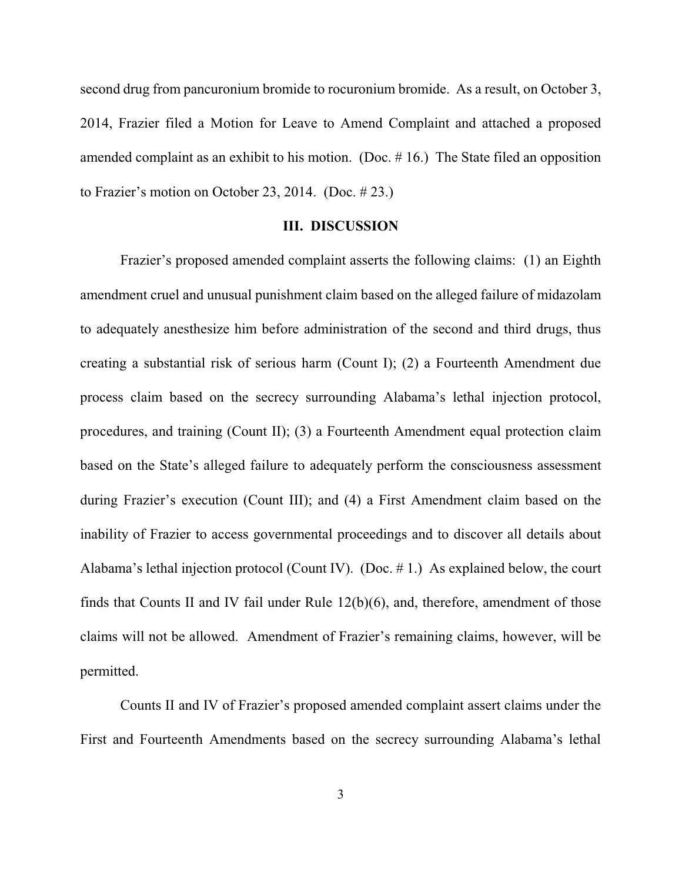second drug from pancuronium bromide to rocuronium bromide. As a result, on October 3, 2014, Frazier filed a Motion for Leave to Amend Complaint and attached a proposed amended complaint as an exhibit to his motion. (Doc. # 16.) The State filed an opposition to Frazier's motion on October 23, 2014. (Doc. # 23.)

#### **III. DISCUSSION**

Frazier's proposed amended complaint asserts the following claims: (1) an Eighth amendment cruel and unusual punishment claim based on the alleged failure of midazolam to adequately anesthesize him before administration of the second and third drugs, thus creating a substantial risk of serious harm (Count I); (2) a Fourteenth Amendment due process claim based on the secrecy surrounding Alabama's lethal injection protocol, procedures, and training (Count II); (3) a Fourteenth Amendment equal protection claim based on the State's alleged failure to adequately perform the consciousness assessment during Frazier's execution (Count III); and (4) a First Amendment claim based on the inability of Frazier to access governmental proceedings and to discover all details about Alabama's lethal injection protocol (Count IV). (Doc. # 1.) As explained below, the court finds that Counts II and IV fail under Rule 12(b)(6), and, therefore, amendment of those claims will not be allowed. Amendment of Frazier's remaining claims, however, will be permitted.

Counts II and IV of Frazier's proposed amended complaint assert claims under the First and Fourteenth Amendments based on the secrecy surrounding Alabama's lethal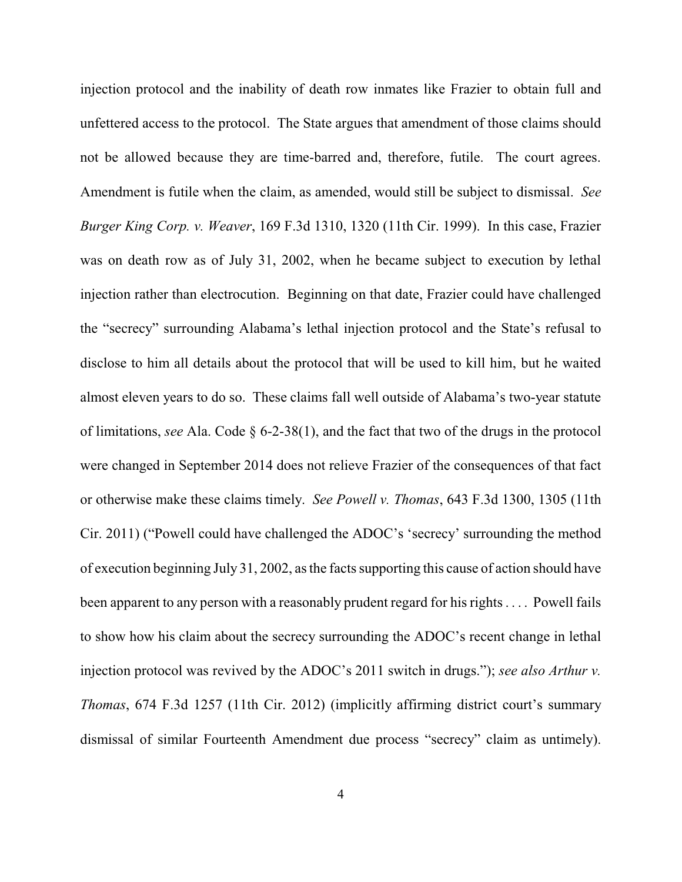injection protocol and the inability of death row inmates like Frazier to obtain full and unfettered access to the protocol. The State argues that amendment of those claims should not be allowed because they are time-barred and, therefore, futile. The court agrees. Amendment is futile when the claim, as amended, would still be subject to dismissal. *See Burger King Corp. v. Weaver*, 169 F.3d 1310, 1320 (11th Cir. 1999). In this case, Frazier was on death row as of July 31, 2002, when he became subject to execution by lethal injection rather than electrocution. Beginning on that date, Frazier could have challenged the "secrecy" surrounding Alabama's lethal injection protocol and the State's refusal to disclose to him all details about the protocol that will be used to kill him, but he waited almost eleven years to do so. These claims fall well outside of Alabama's two-year statute of limitations, *see* Ala. Code § 6-2-38(1), and the fact that two of the drugs in the protocol were changed in September 2014 does not relieve Frazier of the consequences of that fact or otherwise make these claims timely. *See Powell v. Thomas*, 643 F.3d 1300, 1305 (11th Cir. 2011) ("Powell could have challenged the ADOC's 'secrecy' surrounding the method of execution beginning July 31, 2002, as the facts supporting this cause of action should have been apparent to any person with a reasonably prudent regard for his rights . . . . Powell fails to show how his claim about the secrecy surrounding the ADOC's recent change in lethal injection protocol was revived by the ADOC's 2011 switch in drugs."); *see also Arthur v. Thomas*, 674 F.3d 1257 (11th Cir. 2012) (implicitly affirming district court's summary dismissal of similar Fourteenth Amendment due process "secrecy" claim as untimely).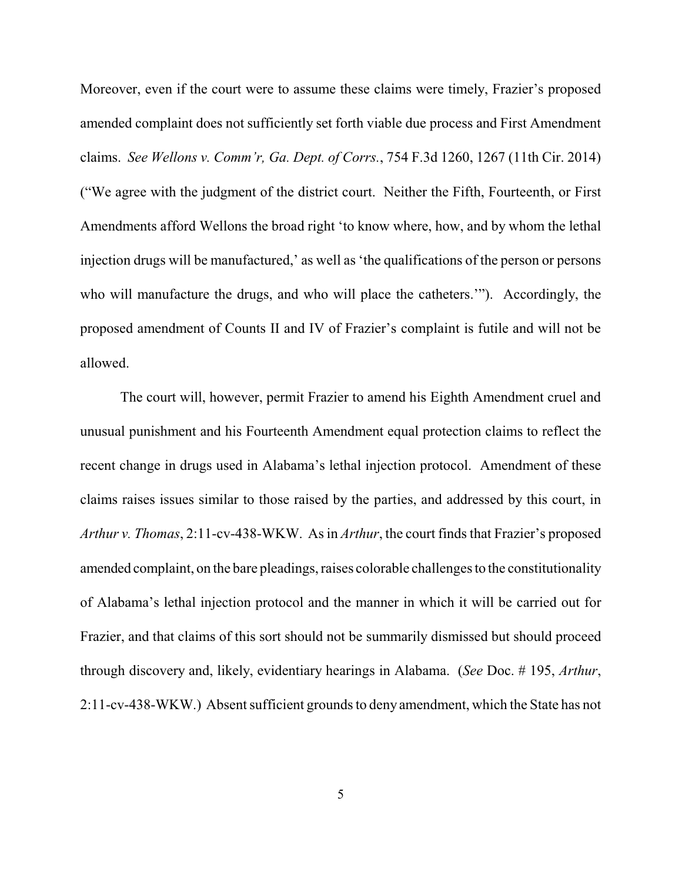Moreover, even if the court were to assume these claims were timely, Frazier's proposed amended complaint does not sufficiently set forth viable due process and First Amendment claims. *See Wellons v. Comm'r, Ga. Dept. of Corrs.*, 754 F.3d 1260, 1267 (11th Cir. 2014) ("We agree with the judgment of the district court. Neither the Fifth, Fourteenth, or First Amendments afford Wellons the broad right 'to know where, how, and by whom the lethal injection drugs will be manufactured,' as well as 'the qualifications of the person or persons who will manufacture the drugs, and who will place the catheters.'"). Accordingly, the proposed amendment of Counts II and IV of Frazier's complaint is futile and will not be allowed.

The court will, however, permit Frazier to amend his Eighth Amendment cruel and unusual punishment and his Fourteenth Amendment equal protection claims to reflect the recent change in drugs used in Alabama's lethal injection protocol. Amendment of these claims raises issues similar to those raised by the parties, and addressed by this court, in *Arthur v. Thomas*, 2:11-cv-438-WKW. As in *Arthur*, the court finds that Frazier's proposed amended complaint, on the bare pleadings, raises colorable challenges to the constitutionality of Alabama's lethal injection protocol and the manner in which it will be carried out for Frazier, and that claims of this sort should not be summarily dismissed but should proceed through discovery and, likely, evidentiary hearings in Alabama. (*See* Doc. # 195, *Arthur*, 2:11-cv-438-WKW.) Absent sufficient grounds to deny amendment, which the State has not